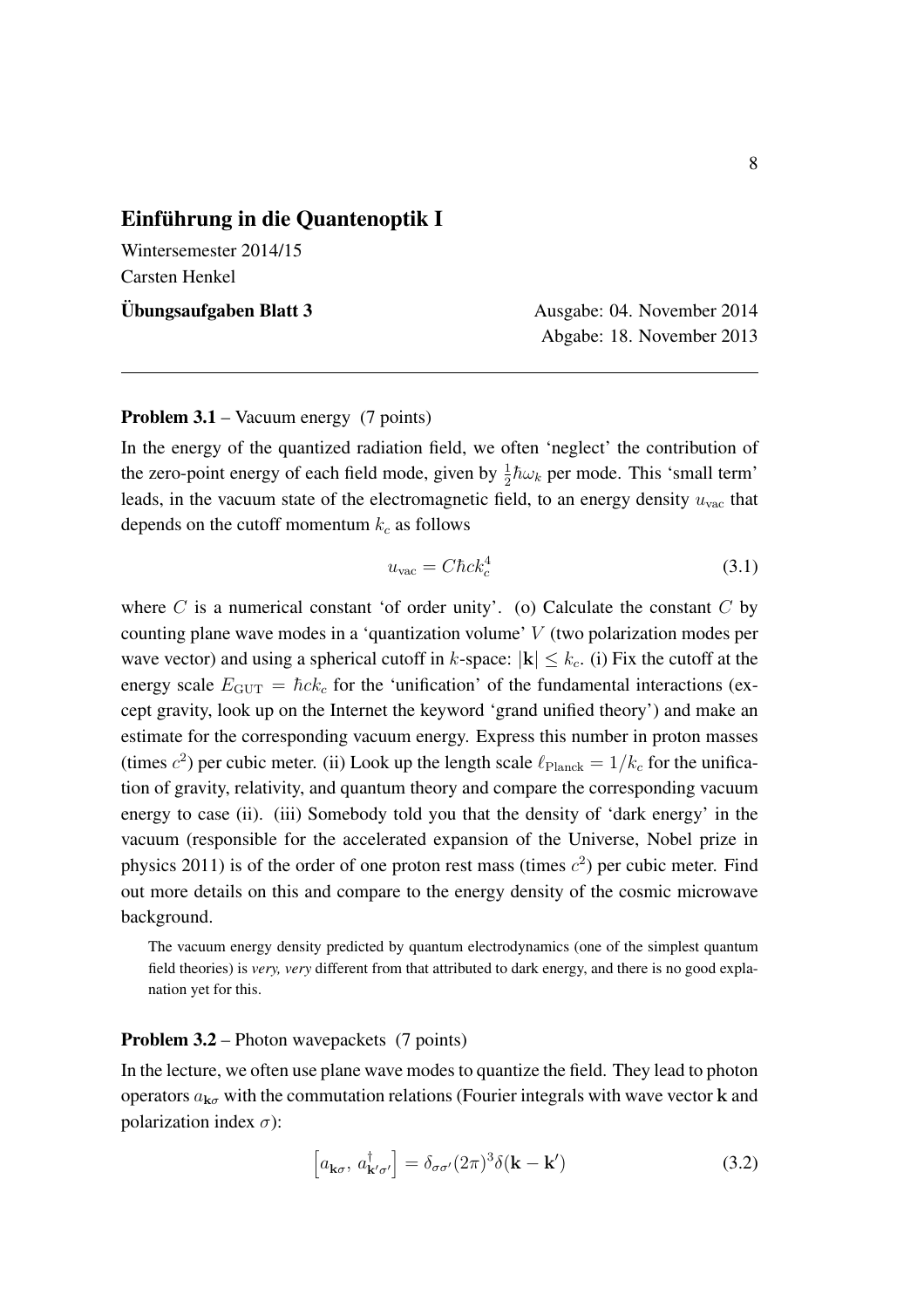## Einführung in die Quantenoptik I

Wintersemester 2014/15 Carsten Henkel

Ubungsaufgaben Blatt 3 ¨ Ausgabe: 04. November 2014

Abgabe: 18. November 2013

## Problem 3.1 – Vacuum energy (7 points)

In the energy of the quantized radiation field, we often 'neglect' the contribution of the zero-point energy of each field mode, given by  $\frac{1}{2}\hbar\omega_k$  per mode. This 'small term' leads, in the vacuum state of the electromagnetic field, to an energy density  $u_{\text{vac}}$  that depends on the cutoff momentum  $k_c$  as follows

$$
u_{\rm vac} = C\hbar ck_c^4 \tag{3.1}
$$

where  $C$  is a numerical constant 'of order unity'. (o) Calculate the constant  $C$  by counting plane wave modes in a 'quantization volume' *V* (two polarization modes per wave vector) and using a spherical cutoff in  $k$ -space:  $|\mathbf{k}| \leq k_c$ . (i) Fix the cutoff at the energy scale  $E_{\text{GUT}} = \hbar c k_c$  for the 'unification' of the fundamental interactions (except gravity, look up on the Internet the keyword 'grand unified theory') and make an estimate for the corresponding vacuum energy. Express this number in proton masses (times  $c^2$ ) per cubic meter. (ii) Look up the length scale  $\ell_{\text{Planck}} = 1/k_c$  for the unification of gravity, relativity, and quantum theory and compare the corresponding vacuum energy to case (ii). (iii) Somebody told you that the density of 'dark energy' in the vacuum (responsible for the accelerated expansion of the Universe, Nobel prize in physics 2011) is of the order of one proton rest mass (times  $c<sup>2</sup>$ ) per cubic meter. Find out more details on this and compare to the energy density of the cosmic microwave background.

The vacuum energy density predicted by quantum electrodynamics (one of the simplest quantum field theories) is *very, very* different from that attributed to dark energy, and there is no good explanation yet for this.

## Problem 3.2 – Photon wavepackets (7 points)

In the lecture, we often use plane wave modes to quantize the field. They lead to photon operators  $a_{\mathbf{k}\sigma}$  with the commutation relations (Fourier integrals with wave vector **k** and polarization index  $\sigma$ :

$$
\left[a_{\mathbf{k}\sigma},\,a^{\dagger}_{\mathbf{k}'\sigma'}\right] = \delta_{\sigma\sigma'}(2\pi)^3 \delta(\mathbf{k} - \mathbf{k}')\tag{3.2}
$$